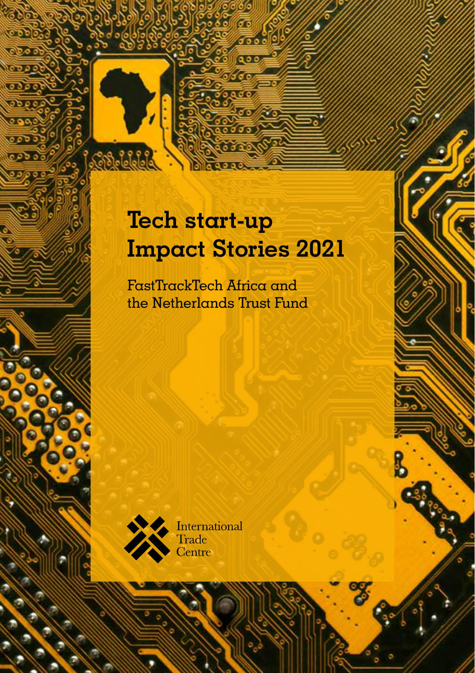# **Tech start-up Impact Stories 2021**

FastTrackTech Africa and the Netherlands Trust Fund



International Trade Centre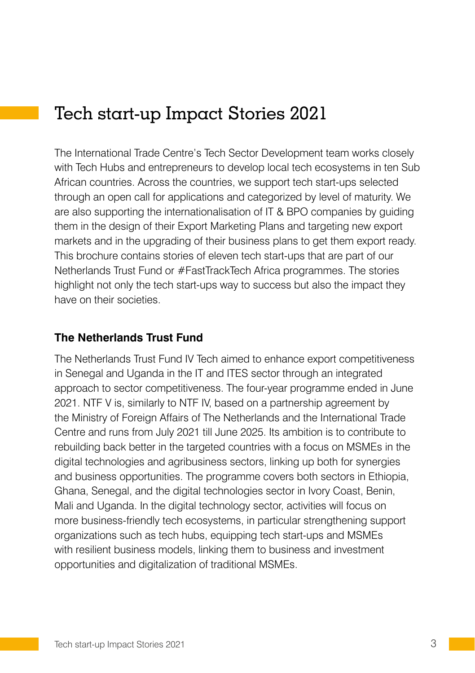# Tech start-up Impact Stories 2021

The International Trade Centre's Tech Sector Development team works closely with Tech Hubs and entrepreneurs to develop local tech ecosystems in ten Sub African countries. Across the countries, we support tech start-ups selected through an open call for applications and categorized by level of maturity. We are also supporting the internationalisation of IT & BPO companies by guiding them in the design of their Export Marketing Plans and targeting new export markets and in the upgrading of their business plans to get them export ready. This brochure contains stories of eleven tech start-ups that are part of our Netherlands Trust Fund or #FastTrackTech Africa programmes. The stories highlight not only the tech start-ups way to success but also the impact they have on their societies.

#### **The Netherlands Trust Fund**

The Netherlands Trust Fund IV Tech aimed to enhance export competitiveness in Senegal and Uganda in the IT and ITES sector through an integrated approach to sector competitiveness. The four-year programme ended in June 2021. NTF V is, similarly to NTF IV, based on a partnership agreement by the Ministry of Foreign Affairs of The Netherlands and the International Trade Centre and runs from July 2021 till June 2025. Its ambition is to contribute to rebuilding back better in the targeted countries with a focus on MSMEs in the digital technologies and agribusiness sectors, linking up both for synergies and business opportunities. The programme covers both sectors in Ethiopia, Ghana, Senegal, and the digital technologies sector in Ivory Coast, Benin, Mali and Uganda. In the digital technology sector, activities will focus on more business-friendly tech ecosystems, in particular strengthening support organizations such as tech hubs, equipping tech start-ups and MSMEs with resilient business models, linking them to business and investment opportunities and digitalization of traditional MSMEs.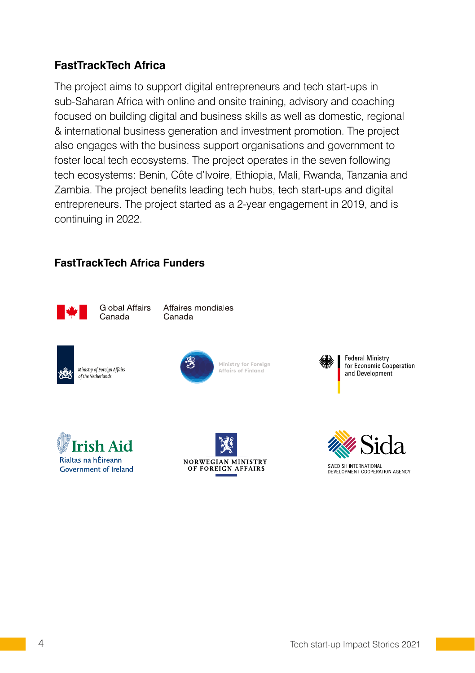### **FastTrackTech Africa**

The project aims to support digital entrepreneurs and tech start-ups in sub-Saharan Africa with online and onsite training, advisory and coaching focused on building digital and business skills as well as domestic, regional & international business generation and investment promotion. The project also engages with the business support organisations and government to foster local tech ecosystems. The project operates in the seven following tech ecosystems: Benin, Côte d'Ivoire, Ethiopia, Mali, Rwanda, Tanzania and Zambia. The project benefits leading tech hubs, tech start-ups and digital entrepreneurs. The project started as a 2-year engagement in 2019, and is continuing in 2022.

#### **FastTrackTech Africa Funders**



Global Affairs Canada

Affaires mondiales Canada





Ministry for Foreian Affairs of Finland









4 Tech start-up Impact Stories 2021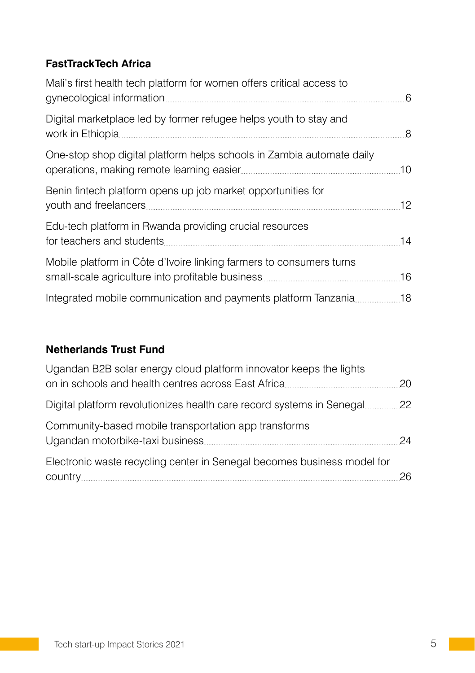### **FastTrackTech Africa**

| Mali's first health tech platform for women offers critical access to |    |
|-----------------------------------------------------------------------|----|
| Digital marketplace led by former refugee helps youth to stay and     |    |
| One-stop shop digital platform helps schools in Zambia automate daily | 10 |
| Benin fintech platform opens up job market opportunities for          | 12 |
| Edu-tech platform in Rwanda providing crucial resources               | 14 |
| Mobile platform in Côte d'Ivoire linking farmers to consumers turns   |    |
|                                                                       |    |

### **Netherlands Trust Fund**

| Ugandan B2B solar energy cloud platform innovator keeps the lights      |    |
|-------------------------------------------------------------------------|----|
|                                                                         |    |
| Community-based mobile transportation app transforms                    | 24 |
| Electronic waste recycling center in Senegal becomes business model for |    |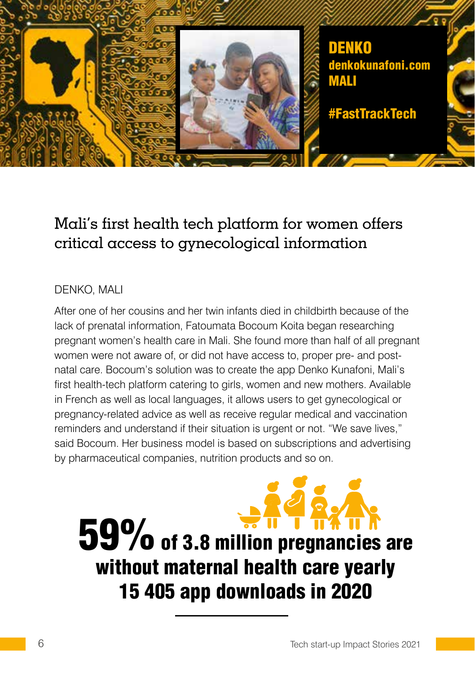

## Mali's first health tech platform for women offers critical access to gynecological information

### DENKO, MALI

After one of her cousins and her twin infants died in childbirth because of the lack of prenatal information, Fatoumata Bocoum Koita began researching pregnant women's health care in Mali. She found more than half of all pregnant women were not aware of, or did not have access to, proper pre- and postnatal care. Bocoum's solution was to create the app Denko Kunafoni, Mali's first health-tech platform catering to girls, women and new mothers. Available in French as well as local languages, it allows users to get gynecological or pregnancy-related advice as well as receive regular medical and vaccination reminders and understand if their situation is urgent or not. "We save lives," said Bocoum. Her business model is based on subscriptions and advertising by pharmaceutical companies, nutrition products and so on.

# 59% of 3.8 million pregnancies are without maternal health care yearly 15 405 app downloads in 2020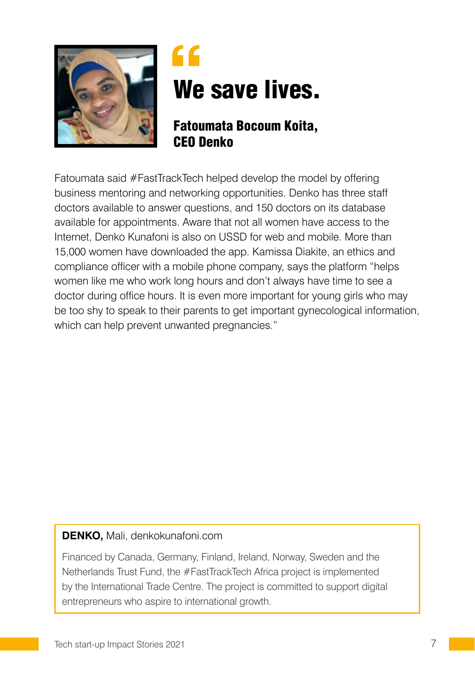

# " We save lives.

### Fatoumata Bocoum Koita, CEO Denko

Fatoumata said #FastTrackTech helped develop the model by offering business mentoring and networking opportunities. Denko has three staff doctors available to answer questions, and 150 doctors on its database available for appointments. Aware that not all women have access to the Internet, Denko Kunafoni is also on USSD for web and mobile. More than 15,000 women have downloaded the app. Kamissa Diakite, an ethics and compliance officer with a mobile phone company, says the platform "helps women like me who work long hours and don't always have time to see a doctor during office hours. It is even more important for young girls who may be too shy to speak to their parents to get important gynecological information, which can help prevent unwanted pregnancies."

### **DENKO,** Mali, denkokunafoni.com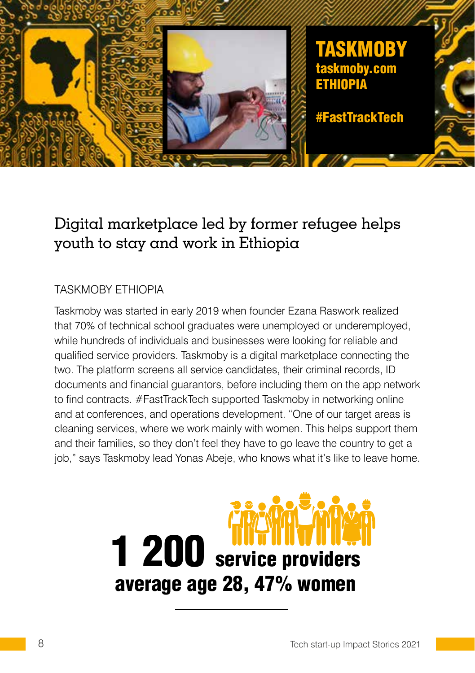

# Digital marketplace led by former refugee helps youth to stay and work in Ethiopia

### TASKMOBY ETHIOPIA

Taskmoby was started in early 2019 when founder Ezana Raswork realized that 70% of technical school graduates were unemployed or underemployed, while hundreds of individuals and businesses were looking for reliable and qualified service providers. Taskmoby is a digital marketplace connecting the two. The platform screens all service candidates, their criminal records, ID documents and financial guarantors, before including them on the app network to find contracts. #FastTrackTech supported Taskmoby in networking online and at conferences, and operations development. "One of our target areas is cleaning services, where we work mainly with women. This helps support them and their families, so they don't feel they have to go leave the country to get a job," says Taskmoby lead Yonas Abeje, who knows what it's like to leave home.

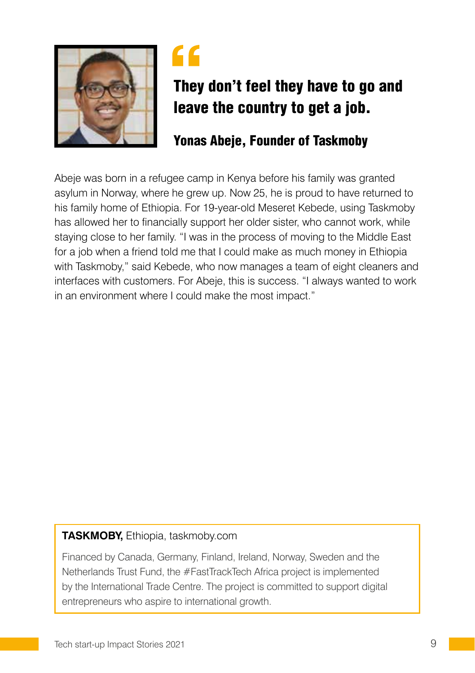



# They don't feel they have to go and leave the country to get a job.

### Yonas Abeje, Founder of Taskmoby

Abeje was born in a refugee camp in Kenya before his family was granted asylum in Norway, where he grew up. Now 25, he is proud to have returned to his family home of Ethiopia. For 19-year-old Meseret Kebede, using Taskmoby has allowed her to financially support her older sister, who cannot work, while staying close to her family. "I was in the process of moving to the Middle East for a job when a friend told me that I could make as much money in Ethiopia with Taskmoby," said Kebede, who now manages a team of eight cleaners and interfaces with customers. For Abeje, this is success. "I always wanted to work in an environment where I could make the most impact."

### **TASKMOBY,** Ethiopia, taskmoby.com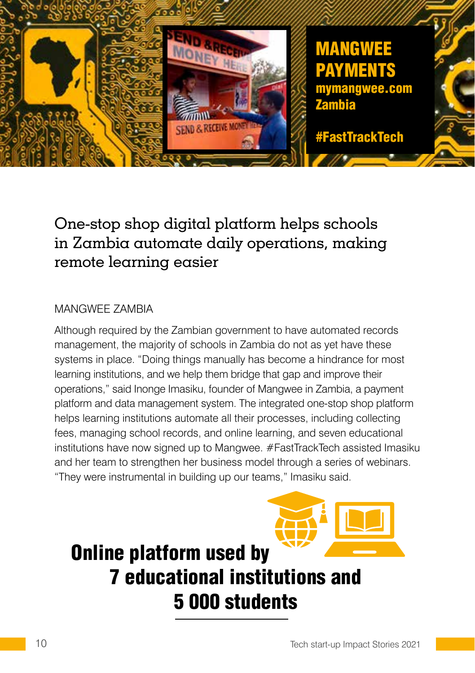

# One-stop shop digital platform helps schools in Zambia automate daily operations, making remote learning easier

### MANGWEE ZAMBIA

Although required by the Zambian government to have automated records management, the majority of schools in Zambia do not as yet have these systems in place. "Doing things manually has become a hindrance for most learning institutions, and we help them bridge that gap and improve their operations," said Inonge Imasiku, founder of Mangwee in Zambia, a payment platform and data management system. The integrated one-stop shop platform helps learning institutions automate all their processes, including collecting fees, managing school records, and online learning, and seven educational institutions have now signed up to Mangwee. #FastTrackTech assisted Imasiku and her team to strengthen her business model through a series of webinars. "They were instrumental in building up our teams," Imasiku said.

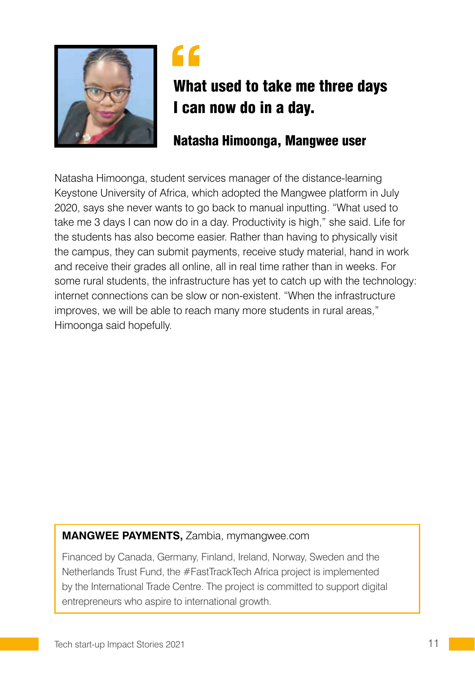



# What used to take me three days I can now do in a day.

### Natasha Himoonga, Mangwee user

Natasha Himoonga, student services manager of the distance-learning Keystone University of Africa, which adopted the Mangwee platform in July 2020, says she never wants to go back to manual inputting. "What used to take me 3 days I can now do in a day. Productivity is high," she said. Life for the students has also become easier. Rather than having to physically visit the campus, they can submit payments, receive study material, hand in work and receive their grades all online, all in real time rather than in weeks. For some rural students, the infrastructure has yet to catch up with the technology: internet connections can be slow or non-existent. "When the infrastructure improves, we will be able to reach many more students in rural areas," Himoonga said hopefully.

### **MANGWEE PAYMENTS,** Zambia, mymangwee.com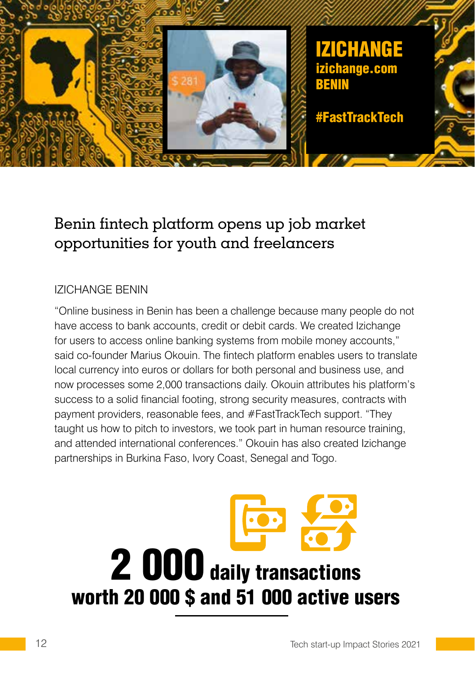

# Benin fintech platform opens up job market opportunities for youth and freelancers

### IZICHANGE BENIN

"Online business in Benin has been a challenge because many people do not have access to bank accounts, credit or debit cards. We created Izichange for users to access online banking systems from mobile money accounts," said co-founder Marius Okouin. The fintech platform enables users to translate local currency into euros or dollars for both personal and business use, and now processes some 2,000 transactions daily. Okouin attributes his platform's success to a solid financial footing, strong security measures, contracts with payment providers, reasonable fees, and #FastTrackTech support. "They taught us how to pitch to investors, we took part in human resource training, and attended international conferences." Okouin has also created Izichange partnerships in Burkina Faso, Ivory Coast, Senegal and Togo.

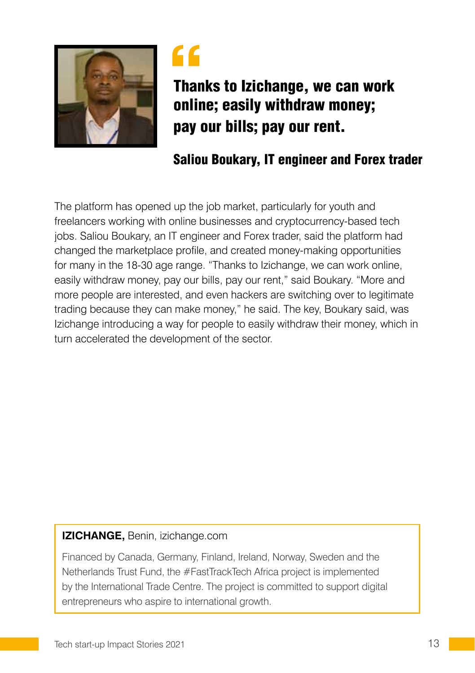



Thanks to Izichange, we can work online; easily withdraw money; pay our bills; pay our rent.

### Saliou Boukary, IT engineer and Forex trader

The platform has opened up the job market, particularly for youth and freelancers working with online businesses and cryptocurrency-based tech jobs. Saliou Boukary, an IT engineer and Forex trader, said the platform had changed the marketplace profile, and created money-making opportunities for many in the 18-30 age range. "Thanks to Izichange, we can work online, easily withdraw money, pay our bills, pay our rent," said Boukary. "More and more people are interested, and even hackers are switching over to legitimate trading because they can make money," he said. The key, Boukary said, was Izichange introducing a way for people to easily withdraw their money, which in turn accelerated the development of the sector.

#### **IZICHANGE,** Benin, izichange.com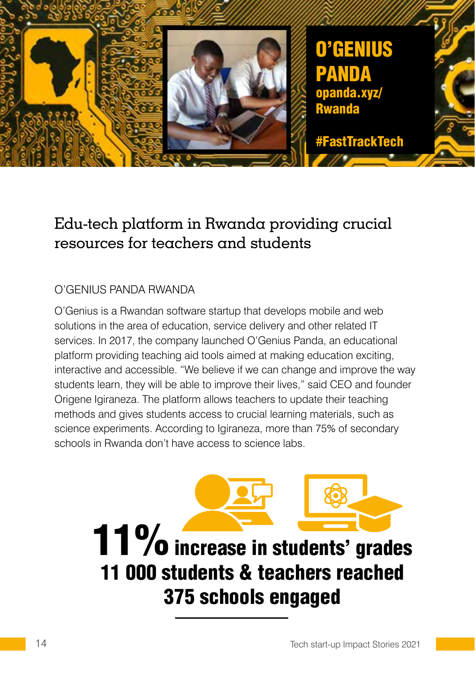

# Edu-tech platform in Rwanda providing crucial resources for teachers and students

### O'GENIUS PANDA RWANDA

O'Genius is a Rwandan software startup that develops mobile and web solutions in the area of education, service delivery and other related IT services. In 2017, the company launched O'Genius Panda, an educational platform providing teaching aid tools aimed at making education exciting, interactive and accessible. "We believe if we can change and improve the way students learn, they will be able to improve their lives," said CEO and founder Origene Igiraneza. The platform allows teachers to update their teaching methods and gives students access to crucial learning materials, such as science experiments. According to Igiraneza, more than 75% of secondary schools in Rwanda don't have access to science labs.

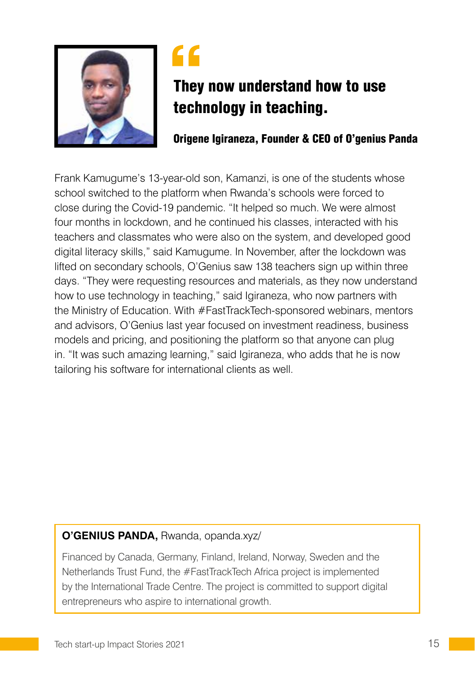



# They now understand how to use technology in teaching.

Origene Igiraneza, Founder & CEO of O'genius Panda

Frank Kamugume's 13-year-old son, Kamanzi, is one of the students whose school switched to the platform when Rwanda's schools were forced to close during the Covid-19 pandemic. "It helped so much. We were almost four months in lockdown, and he continued his classes, interacted with his teachers and classmates who were also on the system, and developed good digital literacy skills," said Kamugume. In November, after the lockdown was lifted on secondary schools, O'Genius saw 138 teachers sign up within three days. "They were requesting resources and materials, as they now understand how to use technology in teaching," said Igiraneza, who now partners with the Ministry of Education. With #FastTrackTech-sponsored webinars, mentors and advisors, O'Genius last year focused on investment readiness, business models and pricing, and positioning the platform so that anyone can plug in. "It was such amazing learning," said Igiraneza, who adds that he is now tailoring his software for international clients as well.

### **O'GENIUS PANDA,** Rwanda, opanda.xyz/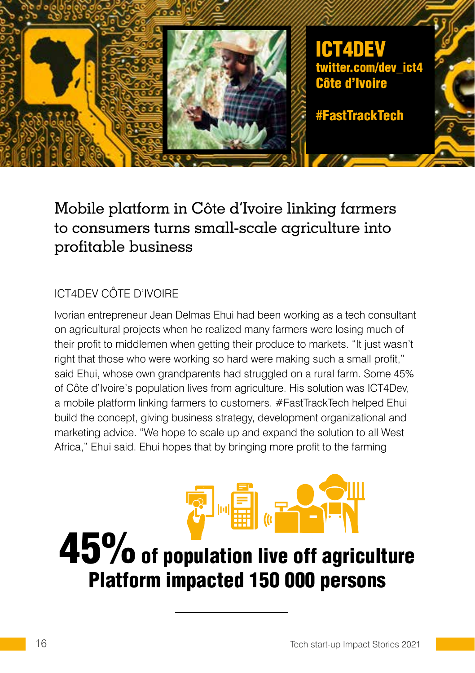

# Mobile platform in Côte d'Ivoire linking farmers to consumers turns small-scale agriculture into profitable business

### ICT4DEV CÔTE D'IVOIRE

Ivorian entrepreneur Jean Delmas Ehui had been working as a tech consultant on agricultural projects when he realized many farmers were losing much of their profit to middlemen when getting their produce to markets. "It just wasn't right that those who were working so hard were making such a small profit," said Ehui, whose own grandparents had struggled on a rural farm. Some 45% of Côte d'Ivoire's population lives from agriculture. His solution was ICT4Dev, a mobile platform linking farmers to customers. #FastTrackTech helped Ehui build the concept, giving business strategy, development organizational and marketing advice. "We hope to scale up and expand the solution to all West Africa," Ehui said. Ehui hopes that by bringing more profit to the farming

# 45% of population live off agriculture Platform impacted 150 000 persons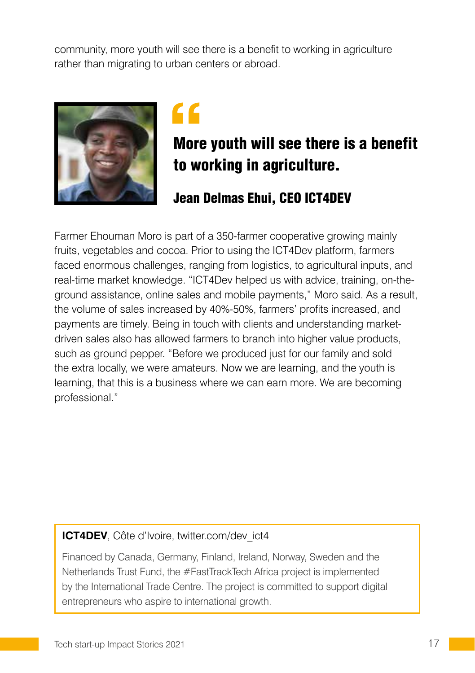community, more youth will see there is a benefit to working in agriculture rather than migrating to urban centers or abroad.



# "

# More youth will see there is a benefit to working in agriculture.

### Jean Delmas Ehui, CEO ICT4DEV

Farmer Ehouman Moro is part of a 350-farmer cooperative growing mainly fruits, vegetables and cocoa. Prior to using the ICT4Dev platform, farmers faced enormous challenges, ranging from logistics, to agricultural inputs, and real-time market knowledge. "ICT4Dev helped us with advice, training, on-theground assistance, online sales and mobile payments," Moro said. As a result, the volume of sales increased by 40%-50%, farmers' profits increased, and payments are timely. Being in touch with clients and understanding marketdriven sales also has allowed farmers to branch into higher value products, such as ground pepper. "Before we produced just for our family and sold the extra locally, we were amateurs. Now we are learning, and the youth is learning, that this is a business where we can earn more. We are becoming professional."

### **ICT4DEV**, Côte d'Ivoire, twitter.com/dev ict4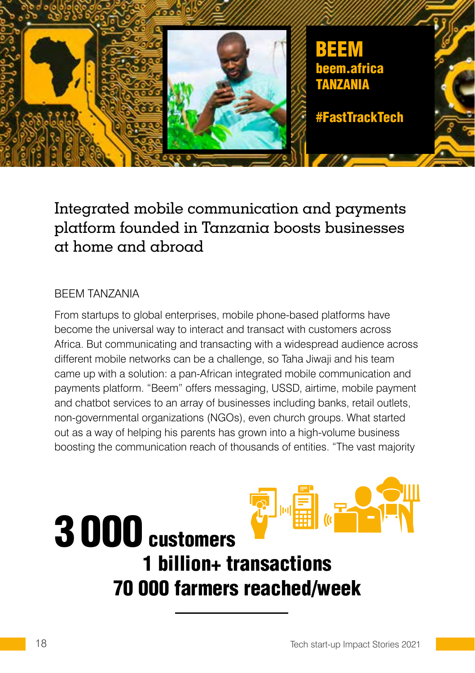

# Integrated mobile communication and payments platform founded in Tanzania boosts businesses at home and abroad

#### BEEM TANZANIA

From startups to global enterprises, mobile phone-based platforms have become the universal way to interact and transact with customers across Africa. But communicating and transacting with a widespread audience across different mobile networks can be a challenge, so Taha Jiwaji and his team came up with a solution: a pan-African integrated mobile communication and payments platform. "Beem" offers messaging, USSD, airtime, mobile payment and chatbot services to an array of businesses including banks, retail outlets, non-governmental organizations (NGOs), even church groups. What started out as a way of helping his parents has grown into a high-volume business boosting the communication reach of thousands of entities. "The vast majority

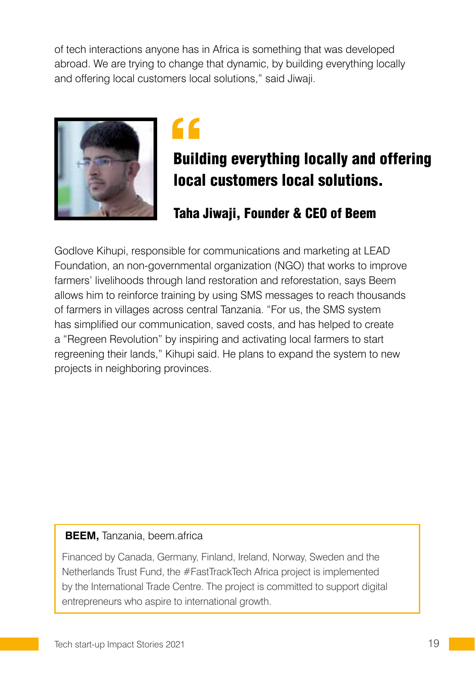of tech interactions anyone has in Africa is something that was developed abroad. We are trying to change that dynamic, by building everything locally and offering local customers local solutions," said Jiwaji.



# "

# Building everything locally and offering local customers local solutions.

## Taha Jiwaji, Founder & CEO of Beem

Godlove Kihupi, responsible for communications and marketing at LEAD Foundation, an non-governmental organization (NGO) that works to improve farmers' livelihoods through land restoration and reforestation, says Beem allows him to reinforce training by using SMS messages to reach thousands of farmers in villages across central Tanzania. "For us, the SMS system has simplified our communication, saved costs, and has helped to create a "Regreen Revolution" by inspiring and activating local farmers to start regreening their lands," Kihupi said. He plans to expand the system to new projects in neighboring provinces.

### **BEEM,** Tanzania, beem.africa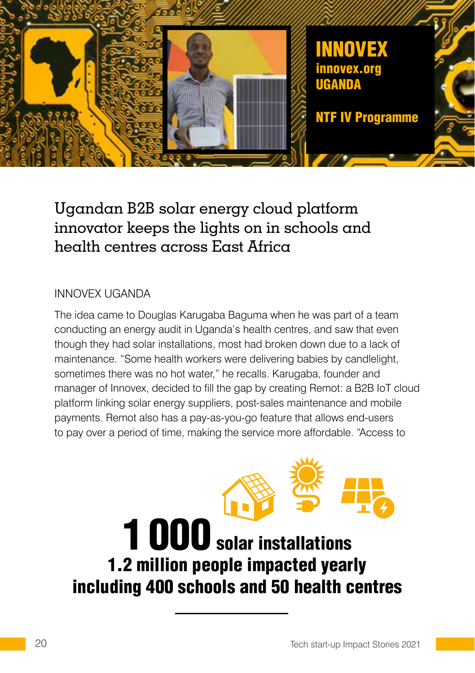

# Ugandan B2B solar energy cloud platform innovator keeps the lights on in schools and health centres across East Africa

### INNOVEX UGANDA

The idea came to Douglas Karugaba Baguma when he was part of a team conducting an energy audit in Uganda's health centres, and saw that even though they had solar installations, most had broken down due to a lack of maintenance. "Some health workers were delivering babies by candlelight, sometimes there was no hot water," he recalls. Karugaba, founder and manager of Innovex, decided to fill the gap by creating Remot: a B2B IoT cloud platform linking solar energy suppliers, post-sales maintenance and mobile payments. Remot also has a pay-as-you-go feature that allows end-users to pay over a period of time, making the service more affordable. "Access to

# 1000 solar installations 1.2 million people impacted yearly including 400 schools and 50 health centres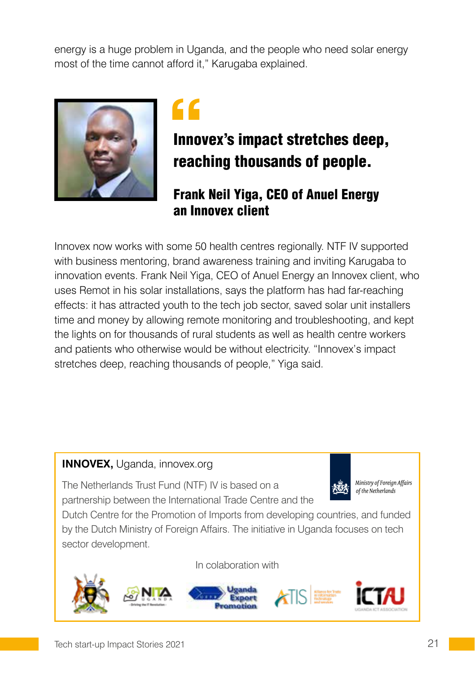energy is a huge problem in Uganda, and the people who need solar energy most of the time cannot afford it," Karugaba explained.





# Innovex's impact stretches deep, reaching thousands of people.

### Frank Neil Yiga, CEO of Anuel Energy an Innovex client

Innovex now works with some 50 health centres regionally. NTF IV supported with business mentoring, brand awareness training and inviting Karugaba to innovation events. Frank Neil Yiga, CEO of Anuel Energy an Innovex client, who uses Remot in his solar installations, says the platform has had far-reaching effects: it has attracted youth to the tech job sector, saved solar unit installers time and money by allowing remote monitoring and troubleshooting, and kept the lights on for thousands of rural students as well as health centre workers and patients who otherwise would be without electricity. "Innovex's impact stretches deep, reaching thousands of people," Yiga said.

### **INNOVEX,** Uganda, innovex.org

The Netherlands Trust Fund (NTF) IV is based on a partnership between the International Trade Centre and the



Ministry of Foreign Affairs of the Netherlands

Dutch Centre for the Promotion of Imports from developing countries, and funded by the Dutch Ministry of Foreign Affairs. The initiative in Uganda focuses on tech sector development.

In colaboration with

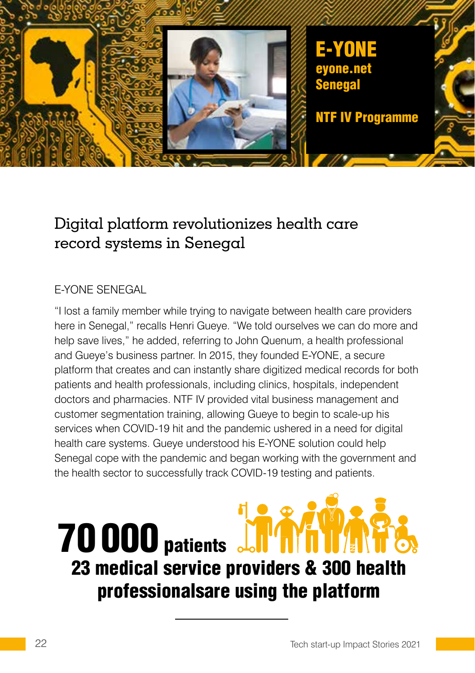

# Digital platform revolutionizes health care record systems in Senegal

### E-YONE SENEGAL

"I lost a family member while trying to navigate between health care providers here in Senegal," recalls Henri Gueye. "We told ourselves we can do more and help save lives," he added, referring to John Quenum, a health professional and Gueye's business partner. In 2015, they founded E-YONE, a secure platform that creates and can instantly share digitized medical records for both patients and health professionals, including clinics, hospitals, independent doctors and pharmacies. NTF IV provided vital business management and customer segmentation training, allowing Gueye to begin to scale-up his services when COVID-19 hit and the pandemic ushered in a need for digital health care systems. Gueye understood his E-YONE solution could help Senegal cope with the pandemic and began working with the government and the health sector to successfully track COVID-19 testing and patients.

# **70 000** patients Jo 23 medical service providers & 300 health professionalsare using the platform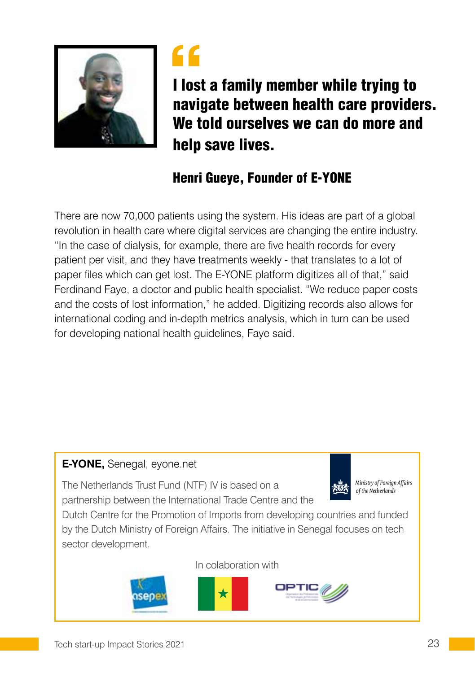



I lost a family member while trying to navigate between health care providers. We told ourselves we can do more and help save lives.

## Henri Gueye, Founder of E-YONE

There are now 70,000 patients using the system. His ideas are part of a global revolution in health care where digital services are changing the entire industry. "In the case of dialysis, for example, there are five health records for every patient per visit, and they have treatments weekly - that translates to a lot of paper files which can get lost. The E-YONE platform digitizes all of that," said Ferdinand Faye, a doctor and public health specialist. "We reduce paper costs and the costs of lost information," he added. Digitizing records also allows for international coding and in-depth metrics analysis, which in turn can be used for developing national health guidelines, Faye said.

### **E-YONE,** Senegal, eyone.net

The Netherlands Trust Fund (NTF) IV is based on a partnership between the International Trade Centre and the



Ministry of Foreign Affairs of the Netherlands

Dutch Centre for the Promotion of Imports from developing countries and funded by the Dutch Ministry of Foreign Affairs. The initiative in Senegal focuses on tech sector development.

In colaboration with

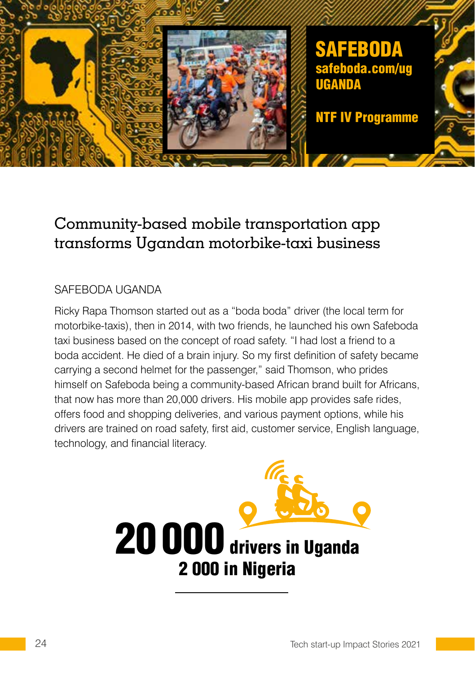

## Community-based mobile transportation app transforms Ugandan motorbike-taxi business

### SAFEBODA UGANDA

Ricky Rapa Thomson started out as a "boda boda" driver (the local term for motorbike-taxis), then in 2014, with two friends, he launched his own Safeboda taxi business based on the concept of road safety. "I had lost a friend to a boda accident. He died of a brain injury. So my first definition of safety became carrying a second helmet for the passenger," said Thomson, who prides himself on Safeboda being a community-based African brand built for Africans, that now has more than 20,000 drivers. His mobile app provides safe rides, offers food and shopping deliveries, and various payment options, while his drivers are trained on road safety, first aid, customer service, English language, technology, and financial literacy.

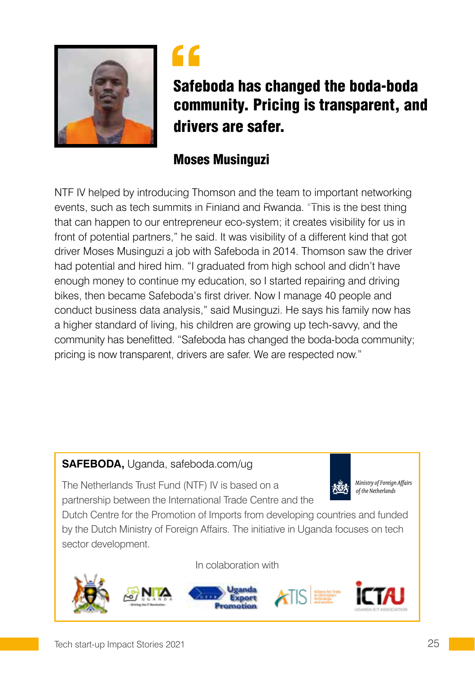



# Safeboda has changed the boda-boda community. Pricing is transparent, and drivers are safer.

### Moses Musinguzi

NTF IV helped by introducing Thomson and the team to important networking events, such as tech summits in Finland and Rwanda. "This is the best thing that can happen to our entrepreneur eco-system; it creates visibility for us in front of potential partners," he said. It was visibility of a different kind that got driver Moses Musinguzi a job with Safeboda in 2014. Thomson saw the driver had potential and hired him. "I graduated from high school and didn't have enough money to continue my education, so I started repairing and driving bikes, then became Safeboda's first driver. Now I manage 40 people and conduct business data analysis," said Musinguzi. He says his family now has a higher standard of living, his children are growing up tech-savvy, and the community has benefitted. "Safeboda has changed the boda-boda community; pricing is now transparent, drivers are safer. We are respected now."

### **SAFEBODA,** Uganda, safeboda.com/ug



Ministry of Foreign Affairs of the Netherlands

The Netherlands Trust Fund (NTF) IV is based on a partnership between the International Trade Centre and the

Dutch Centre for the Promotion of Imports from developing countries and funded by the Dutch Ministry of Foreign Affairs. The initiative in Uganda focuses on tech sector development.

In colaboration with

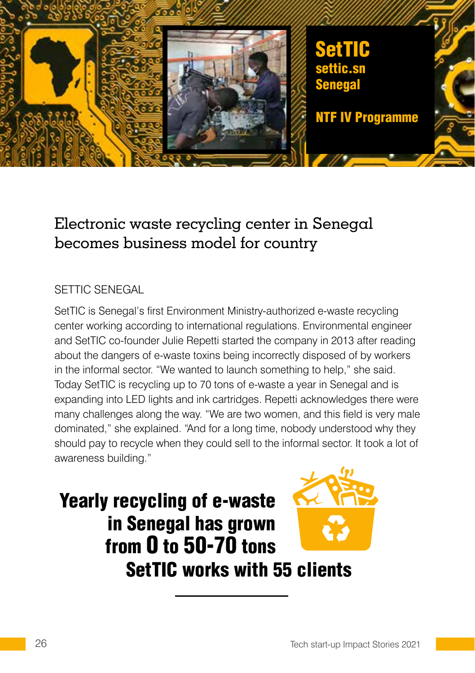

## Electronic waste recycling center in Senegal becomes business model for country

#### SETTIC SENEGAL

SetTIC is Senegal's first Environment Ministry-authorized e-waste recycling center working according to international regulations. Environmental engineer and SetTIC co-founder Julie Repetti started the company in 2013 after reading about the dangers of e-waste toxins being incorrectly disposed of by workers in the informal sector. "We wanted to launch something to help," she said. Today SetTIC is recycling up to 70 tons of e-waste a year in Senegal and is expanding into LED lights and ink cartridges. Repetti acknowledges there were many challenges along the way. "We are two women, and this field is very male dominated," she explained. "And for a long time, nobody understood why they should pay to recycle when they could sell to the informal sector. It took a lot of awareness building."

Yearly recycling of e-waste in Senegal has grown from 0 to 50-70 tons SetTIC works with 55 clients

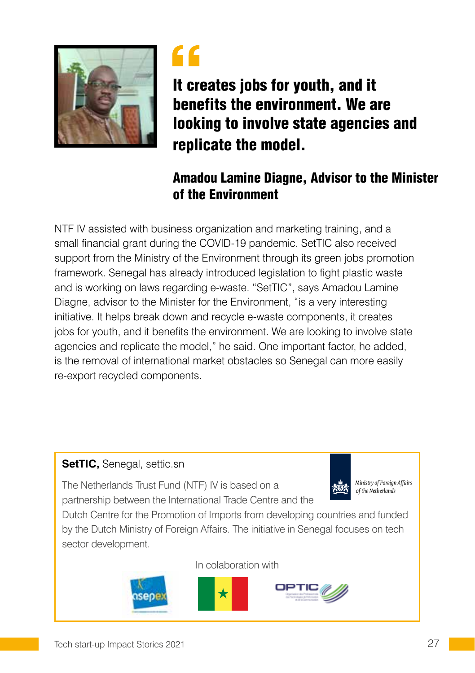



It creates jobs for youth, and it benefits the environment. We are looking to involve state agencies and replicate the model.

### Amadou Lamine Diagne, Advisor to the Minister of the Environment

NTF IV assisted with business organization and marketing training, and a small financial grant during the COVID-19 pandemic. SetTIC also received support from the Ministry of the Environment through its green jobs promotion framework. Senegal has already introduced legislation to fight plastic waste and is working on laws regarding e-waste. "SetTIC", says Amadou Lamine Diagne, advisor to the Minister for the Environment, "is a very interesting initiative. It helps break down and recycle e-waste components, it creates jobs for youth, and it benefits the environment. We are looking to involve state agencies and replicate the model," he said. One important factor, he added, is the removal of international market obstacles so Senegal can more easily re-export recycled components.

### **SetTIC,** Senegal, settic.sn

The Netherlands Trust Fund (NTF) IV is based on a partnership between the International Trade Centre and the



Ministry of Foreign Affairs of the Netherlands

Dutch Centre for the Promotion of Imports from developing countries and funded by the Dutch Ministry of Foreign Affairs. The initiative in Senegal focuses on tech sector development.

In colaboration with